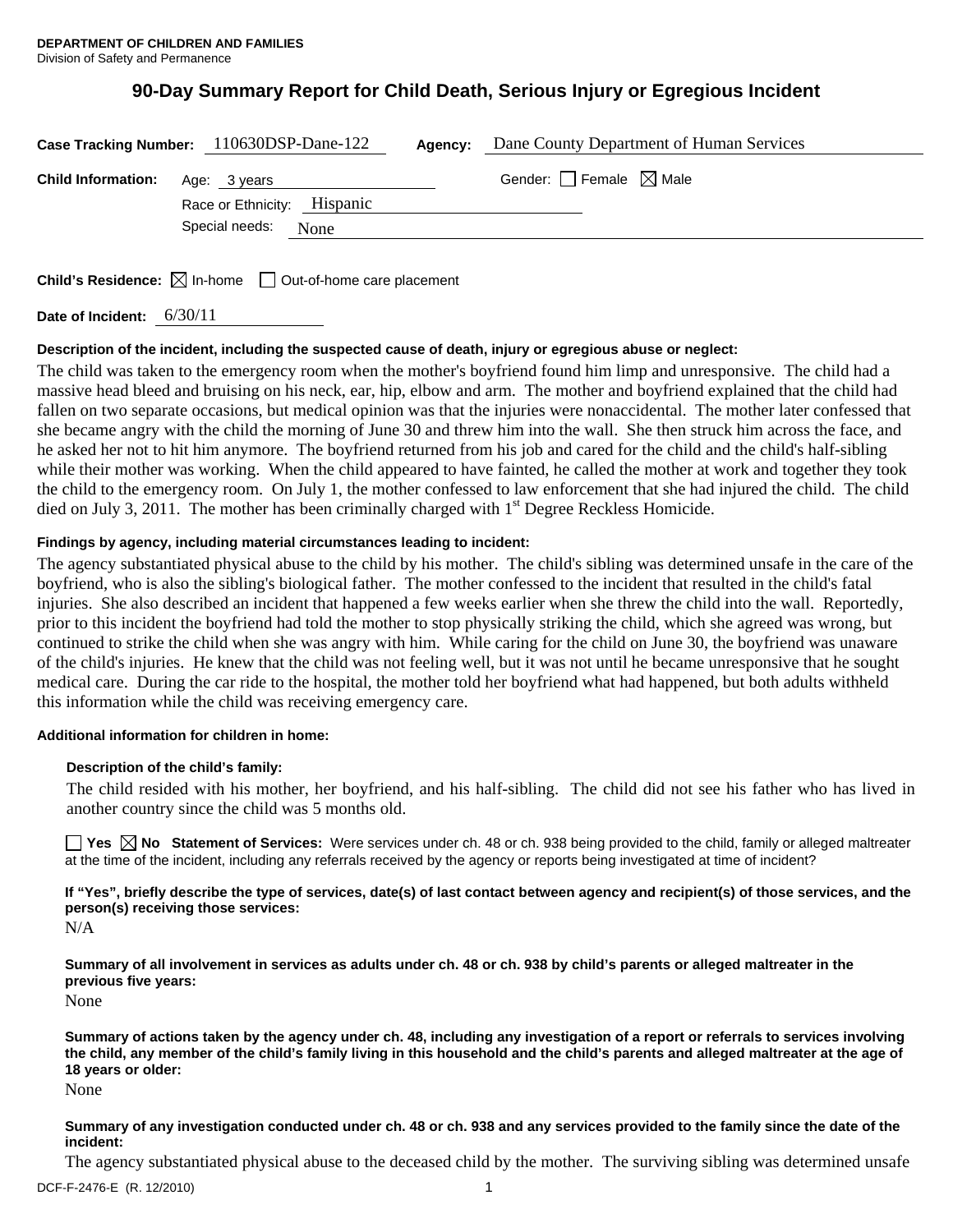# **90-Day Summary Report for Child Death, Serious Injury or Egregious Incident**

|                           | Case Tracking Number: 110630DSP-Dane-122                           | Agency: | Dane County Department of Human Services |  |
|---------------------------|--------------------------------------------------------------------|---------|------------------------------------------|--|
| <b>Child Information:</b> | Age: 3 years<br>Race or Ethnicity: Hispanic<br>Special needs: None |         | Gender: $\Box$ Female $\boxtimes$ Male   |  |

**Child's Residence:**  $\boxtimes$  In-home  $\Box$  Out-of-home care placement

**Date of Incident:** 6/30/11

### **Description of the incident, including the suspected cause of death, injury or egregious abuse or neglect:**

The child was taken to the emergency room when the mother's boyfriend found him limp and unresponsive. The child had a massive head bleed and bruising on his neck, ear, hip, elbow and arm. The mother and boyfriend explained that the child had fallen on two separate occasions, but medical opinion was that the injuries were nonaccidental. The mother later confessed that she became angry with the child the morning of June 30 and threw him into the wall. She then struck him across the face, and he asked her not to hit him anymore. The boyfriend returned from his job and cared for the child and the child's half-sibling while their mother was working. When the child appeared to have fainted, he called the mother at work and together they took the child to the emergency room. On July 1, the mother confessed to law enforcement that she had injured the child. The child died on July 3, 2011. The mother has been criminally charged with  $1<sup>st</sup>$  Degree Reckless Homicide.

### **Findings by agency, including material circumstances leading to incident:**

The agency substantiated physical abuse to the child by his mother. The child's sibling was determined unsafe in the care of the boyfriend, who is also the sibling's biological father. The mother confessed to the incident that resulted in the child's fatal injuries. She also described an incident that happened a few weeks earlier when she threw the child into the wall. Reportedly, prior to this incident the boyfriend had told the mother to stop physically striking the child, which she agreed was wrong, but continued to strike the child when she was angry with him. While caring for the child on June 30, the boyfriend was unaware of the child's injuries. He knew that the child was not feeling well, but it was not until he became unresponsive that he sought medical care. During the car ride to the hospital, the mother told her boyfriend what had happened, but both adults withheld this information while the child was receiving emergency care.

# **Additional information for children in home:**

# **Description of the child's family:**

The child resided with his mother, her boyfriend, and his half-sibling. The child did not see his father who has lived in another country since the child was 5 months old.

**Yes No Statement of Services:** Were services under ch. 48 or ch. 938 being provided to the child, family or alleged maltreater at the time of the incident, including any referrals received by the agency or reports being investigated at time of incident?

**If "Yes", briefly describe the type of services, date(s) of last contact between agency and recipient(s) of those services, and the person(s) receiving those services:** 

N/A

**Summary of all involvement in services as adults under ch. 48 or ch. 938 by child's parents or alleged maltreater in the previous five years:** 

None

**Summary of actions taken by the agency under ch. 48, including any investigation of a report or referrals to services involving the child, any member of the child's family living in this household and the child's parents and alleged maltreater at the age of 18 years or older:** 

None

**Summary of any investigation conducted under ch. 48 or ch. 938 and any services provided to the family since the date of the incident:** 

The agency substantiated physical abuse to the deceased child by the mother. The surviving sibling was determined unsafe